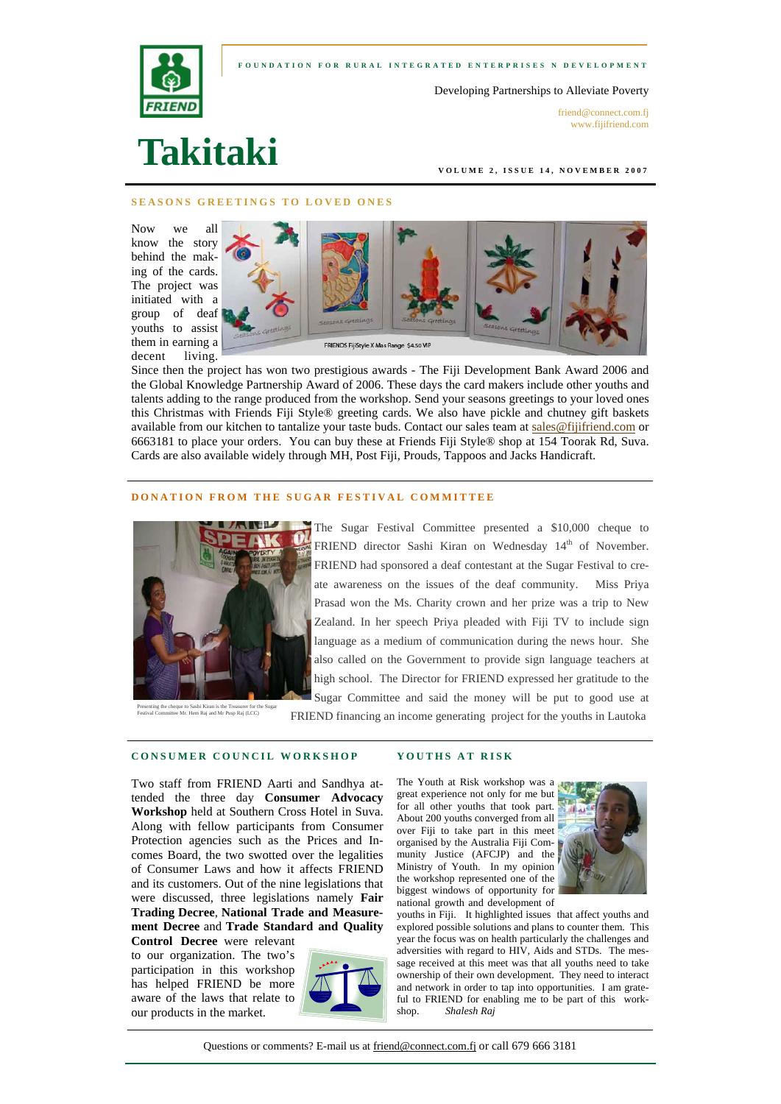



Developing Partnerships to Alleviate Poverty

friend@connect.com.fi www.fijifriend.com

# **Takitaki**

**VOLUME 2, ISSUE 14, NOVEMBER 2007** 

#### **SEASONS GREETINGS TO LOVED ONES**

Now we all know the story behind the making of the cards. The project was initiated with a group of deaf youths to assist them in earning a decent living.



Since then the project has won two prestigious awards - The Fiji Development Bank Award 2006 and the Global Knowledge Partnership Award of 2006. These days the card makers include other youths and talents adding to the range produced from the workshop. Send your seasons greetings to your loved ones this Christmas with Friends Fiji Style® greeting cards. We also have pickle and chutney gift baskets available from our kitchen to tantalize your taste buds. Contact our sales team at sales@fijifriend.com or 6663181 to place your orders. You can buy these at Friends Fiji Style® shop at 154 Toorak Rd, Suva. Cards are also available widely through MH, Post Fiji, Prouds, Tappoos and Jacks Handicraft.

## **DONATION FROM THE SUGAR FESTIVAL COMMITTEE**



Presenting the cheque to Sashi Kiran is the Treasurer for the Sugar Festival Committee Mr. Hem Raj and Mr Pusp Raj (LCC)

The Sugar Festival Committee presented a \$10,000 cheque to FRIEND director Sashi Kiran on Wednesday 14<sup>th</sup> of November. FRIEND had sponsored a deaf contestant at the Sugar Festival to create awareness on the issues of the deaf community. Miss Priya Prasad won the Ms. Charity crown and her prize was a trip to New Zealand. In her speech Priya pleaded with Fiji TV to include sign language as a medium of communication during the news hour. She also called on the Government to provide sign language teachers at high school. The Director for FRIEND expressed her gratitude to the Sugar Committee and said the money will be put to good use at

FRIEND financing an income generating project for the youths in Lautoka

**YOUTHS AT RISK** 

## **CONSUMER COUNCIL WORKSHOP**

Two staff from FRIEND Aarti and Sandhya attended the three day **Consumer Advocacy Workshop** held at Southern Cross Hotel in Suva. Along with fellow participants from Consumer Protection agencies such as the Prices and Incomes Board, the two swotted over the legalities of Consumer Laws and how it affects FRIEND and its customers. Out of the nine legislations that were discussed, three legislations namely **Fair Trading Decree**, **National Trade and Measurement Decree** and **Trade Standard and Quality**

**Control Decree** were relevant to our organization. The two's participation in this workshop has helped FRIEND be more aware of the laws that relate to our products in the market.



The Youth at Risk workshop was a great experience not only for me but for all other youths that took part. About 200 youths converged from all over Fiji to take part in this meet organised by the Australia Fiji Community Justice (AFCJP) and the Ministry of Youth. In my opinion the workshop represented one of the biggest windows of opportunity for national growth and development of



youths in Fiji. It highlighted issues that affect youths and explored possible solutions and plans to counter them. This year the focus was on health particularly the challenges and adversities with regard to HIV, Aids and STDs. The message received at this meet was that all youths need to take ownership of their own development. They need to interact and network in order to tap into opportunities. I am grateful to FRIEND for enabling me to be part of this workshop. *Shalesh Raj*

Questions or comments? E-mail us at friend@connect.com.fj or call 679 666 3181